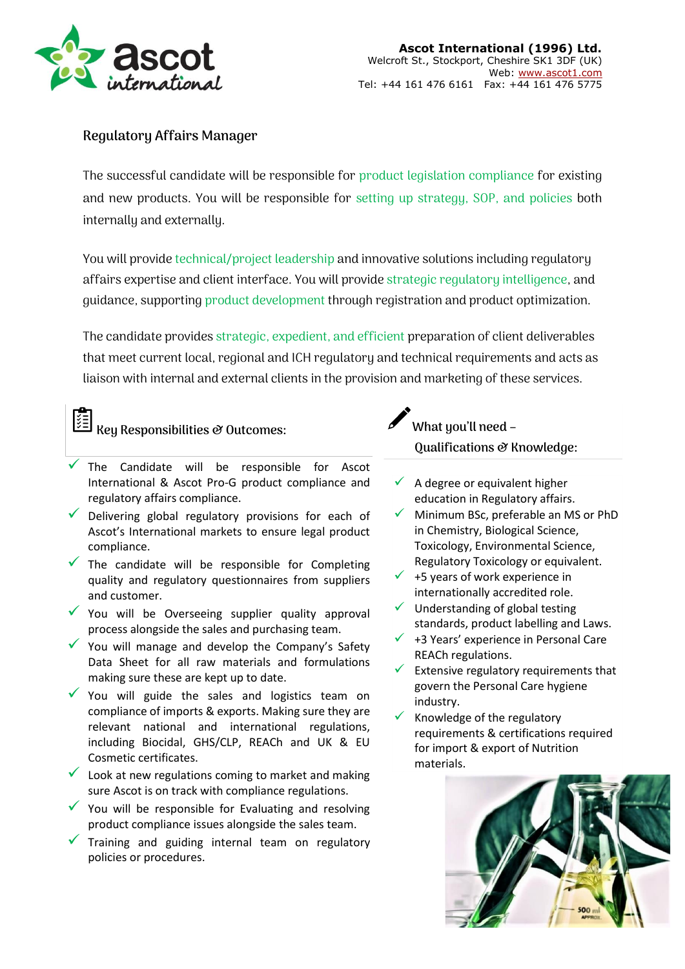

## **Regulatory Affairs Manager**

The successful candidate will be responsible for product legislation compliance for existing and new products. You will be responsible for setting up strategy, SOP, and policies both internally and externally.

You will provide technical/project leadership and innovative solutions including regulatory affairs expertise and client interface. You will provide strategic regulatory intelligence, and guidance, supporting product development through registration and product optimization.

The candidate provides strategic, expedient, and efficient preparation of client deliverables that meet current local, regional and ICH regulatory and technical requirements and acts as liaison with internal and external clients in the provision and marketing of these services.

## **Key Responsibilities & Outcomes:**

- $\checkmark$  The Candidate will be responsible for Ascot International & Ascot Pro-G product compliance and regulatory affairs compliance.
- Delivering global regulatory provisions for each of Ascot's International markets to ensure legal product compliance.
- The candidate will be responsible for Completing quality and regulatory questionnaires from suppliers and customer.
- $\checkmark$  You will be Overseeing supplier quality approval process alongside the sales and purchasing team.
- $\checkmark$  You will manage and develop the Company's Safety Data Sheet for all raw materials and formulations making sure these are kept up to date.
- $\checkmark$  You will guide the sales and logistics team on compliance of imports & exports. Making sure they are relevant national and international regulations, including Biocidal, GHS/CLP, REACh and UK & EU Cosmetic certificates.
- $\checkmark$  Look at new regulations coming to market and making sure Ascot is on track with compliance regulations.
- $\checkmark$  You will be responsible for Evaluating and resolving product compliance issues alongside the sales team.
- Training and guiding internal team on regulatory policies or procedures.

**What you'll need – Qualifications & Knowledge:**

- $\checkmark$  A degree or equivalent higher education in Regulatory affairs.
- Minimum BSc, preferable an MS or PhD in Chemistry, Biological Science, Toxicology, Environmental Science, Regulatory Toxicology or equivalent.
- $\checkmark$  +5 years of work experience in internationally accredited role.
- $\checkmark$  Understanding of global testing standards, product labelling and Laws.
- $\checkmark$  +3 Years' experience in Personal Care REACh regulations.
- $\checkmark$  Extensive regulatory requirements that govern the Personal Care hygiene industry.
- $\checkmark$  Knowledge of the regulatory requirements & certifications required for import & export of Nutrition materials.